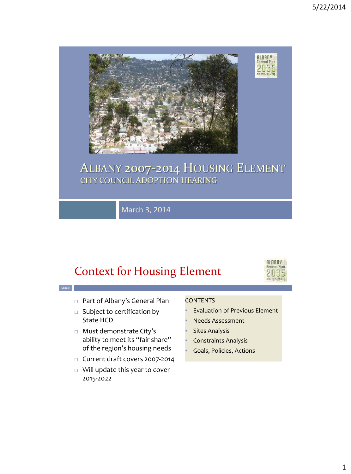

#### ALBANY 2007-2014 HOUSING ELEMENT CITY COUNCIL ADOPTION HEARING

March 3, 2014

### Context for Housing Element



**Slide 2** □ Part of Albany's General Plan  $\square$  Subject to certification by State HCD □ Must demonstrate City's ability to meet its "fair share" of the region's housing needs **CONTENTS**  Needs Assessment Sites Analysis Constraints Analysis Goals, Policies, Actions

- □ Current draft covers 2007-2014
- □ Will update this year to cover 2015-2022

Evaluation of Previous Element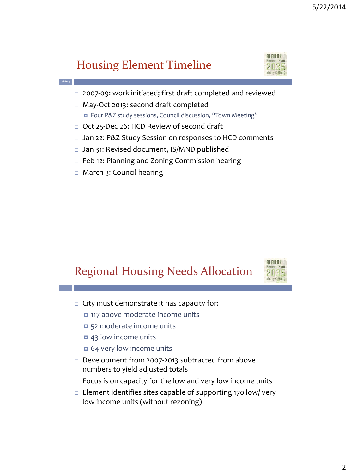### Housing Element Timeline



- □ 2007-09: work initiated; first draft completed and reviewed
- May-Oct 2013: second draft completed ■ Four P&Z study sessions, Council discussion, "Town Meeting"
- □ Oct 25-Dec 26: HCD Review of second draft
- □ Jan 22: P&Z Study Session on responses to HCD comments
- □ Jan 31: Revised document, IS/MND published
- □ Feb 12: Planning and Zoning Commission hearing
- □ March 3: Council hearing

**Slide 3**

### Regional Housing Needs Allocation



- $\Box$  City must demonstrate it has capacity for:
	- $\Box$  117 above moderate income units
	- 52 moderate income units
	- **0** 43 low income units
	- $\Box$  64 very low income units
- □ Development from 2007-2013 subtracted from above numbers to yield adjusted totals
- $\Box$  Focus is on capacity for the low and very low income units
- $\Box$  Element identifies sites capable of supporting 170 low/ very low income units (without rezoning)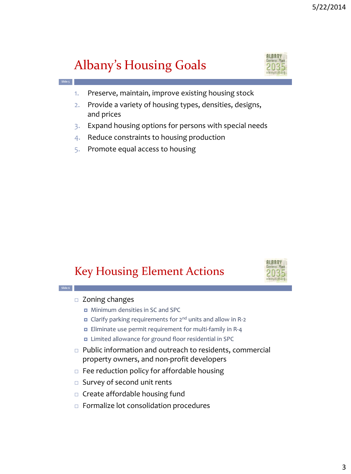# Albany's Housing Goals

**Slide 5**



- 1. Preserve, maintain, improve existing housing stock
- 2. Provide a variety of housing types, densities, designs, and prices
- 3. Expand housing options for persons with special needs
- 4. Reduce constraints to housing production
- 5. Promote equal access to housing

#### Key Housing Element Actions



#### **Slide 6** □ Zoning changes

- Minimum densities in SC and SPC
- Clarify parking requirements for 2nd units and allow in R-2
- **Eliminate use permit requirement for multi-family in R-4**
- **n** Limited allowance for ground floor residential in SPC
- □ Public information and outreach to residents, commercial property owners, and non-profit developers
- $\Box$  Fee reduction policy for affordable housing
- □ Survey of second unit rents
- $\Box$  Create affordable housing fund
- □ Formalize lot consolidation procedures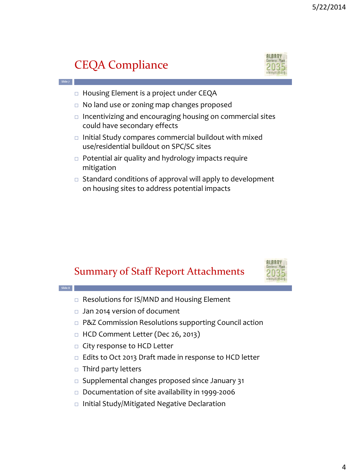## CEQA Compliance

**Slide 7**



- □ Housing Element is a project under CEQA
- □ No land use or zoning map changes proposed
- $\Box$  Incentivizing and encouraging housing on commercial sites could have secondary effects
- $\Box$  Initial Study compares commercial buildout with mixed use/residential buildout on SPC/SC sites
- □ Potential air quality and hydrology impacts require mitigation
- $\Box$  Standard conditions of approval will apply to development on housing sites to address potential impacts

#### Summary of Staff Report Attachments





- 
- □ Documentation of site availability in 1999-2006
- □ Initial Study/Mitigated Negative Declaration